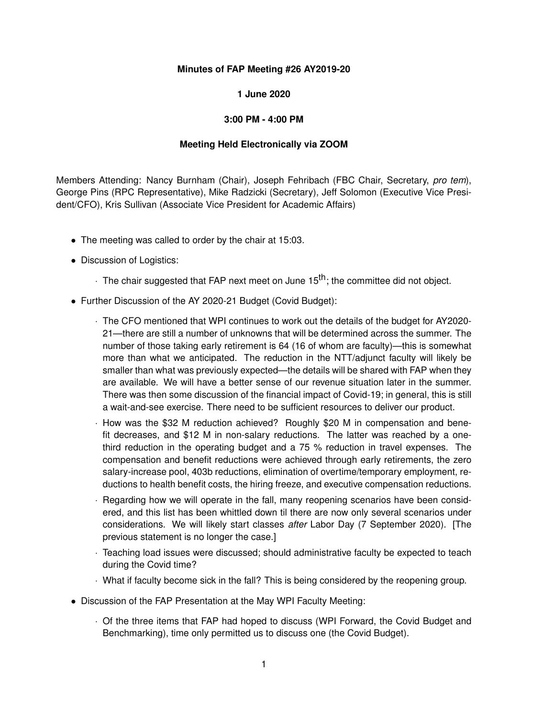## **Minutes of FAP Meeting #26 AY2019-20**

## **1 June 2020**

## **3:00 PM - 4:00 PM**

## **Meeting Held Electronically via ZOOM**

Members Attending: Nancy Burnham (Chair), Joseph Fehribach (FBC Chair, Secretary, *pro tem*), George Pins (RPC Representative), Mike Radzicki (Secretary), Jeff Solomon (Executive Vice President/CFO), Kris Sullivan (Associate Vice President for Academic Affairs)

- The meeting was called to order by the chair at 15:03.
- Discussion of Logistics:
	- $\cdot$  The chair suggested that FAP next meet on June 15<sup>th</sup>; the committee did not object.
- Further Discussion of the AY 2020-21 Budget (Covid Budget):
	- · The CFO mentioned that WPI continues to work out the details of the budget for AY2020- 21—there are still a number of unknowns that will be determined across the summer. The number of those taking early retirement is 64 (16 of whom are faculty)—this is somewhat more than what we anticipated. The reduction in the NTT/adjunct faculty will likely be smaller than what was previously expected—the details will be shared with FAP when they are available. We will have a better sense of our revenue situation later in the summer. There was then some discussion of the financial impact of Covid-19; in general, this is still a wait-and-see exercise. There need to be sufficient resources to deliver our product.
	- · How was the \$32 M reduction achieved? Roughly \$20 M in compensation and benefit decreases, and \$12 M in non-salary reductions. The latter was reached by a onethird reduction in the operating budget and a 75 % reduction in travel expenses. The compensation and benefit reductions were achieved through early retirements, the zero salary-increase pool, 403b reductions, elimination of overtime/temporary employment, reductions to health benefit costs, the hiring freeze, and executive compensation reductions.
	- · Regarding how we will operate in the fall, many reopening scenarios have been considered, and this list has been whittled down til there are now only several scenarios under considerations. We will likely start classes *after* Labor Day (7 September 2020). [The previous statement is no longer the case.]
	- · Teaching load issues were discussed; should administrative faculty be expected to teach during the Covid time?
	- · What if faculty become sick in the fall? This is being considered by the reopening group.
- Discussion of the FAP Presentation at the May WPI Faculty Meeting:
	- · Of the three items that FAP had hoped to discuss (WPI Forward, the Covid Budget and Benchmarking), time only permitted us to discuss one (the Covid Budget).